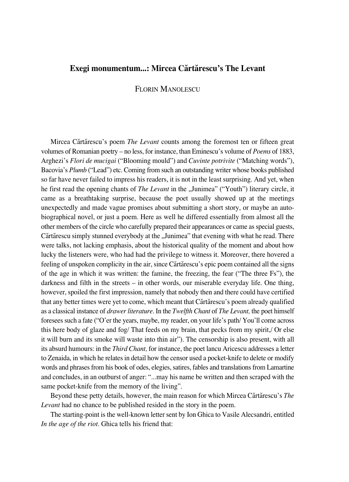## **Exegi monumentum...: Mircea Cærtærescu's The Levant**

## FLORIN MANOLESCU

Mircea Cărtărescu's poem *The Levant* counts among the foremost ten or fifteen great volumes of Romanian poetry – no less, for instance, than Eminescu's volume of *Poems* of 1883, Arghezi's *Flori de mucigai* ("Blooming mould") and *Cuvinte potrivite* ("Matching words"), Bacovia's *Plumb* ("Lead") etc. Coming from such an outstanding writer whose books published so far have never failed to impress his readers, it is not in the least surprising. And yet, when he first read the opening chants of *The Levant* in the "Junimea" ("Youth") literary circle, it came as a breathtaking surprise, because the poet usually showed up at the meetings unexpectedly and made vague promises about submitting a short story, or maybe an autobiographical novel, or just a poem. Here as well he differed essentially from almost all the other members of the circle who carefully prepared their appearances or came as special guests, Cărtărescu simply stunned everybody at the "Junimea" that evening with what he read. There were talks, not lacking emphasis, about the historical quality of the moment and about how lucky the listeners were, who had had the privilege to witness it. Moreover, there hovered a feeling of unspoken complicity in the air, since Cærtærescu's epic poem contained all the signs of the age in which it was written: the famine, the freezing, the fear ("The three Fs"), the darkness and filth in the streets – in other words, our miserable everyday life. One thing, however, spoiled the first impression, namely that nobody then and there could have certified that any better times were yet to come, which meant that Cărtărescu's poem already qualified as a classical instance of *drawer literature.* In the *Twelfth Chant* of *The Levant,* the poet himself foresees such a fate ("O'er the years, maybe, my reader, on your life's path/ You'll come across this here body of glaze and fog/ That feeds on my brain, that pecks from my spirit,/ Or else it will burn and its smoke will waste into thin air"). The censorship is also present, with all its absurd humours: in the *Third Chant,* for instance, the poet lancu Aricescu addresses a letter to Zenaida, in which he relates in detail how the censor used a pocket-knife to delete or modify words and phrases from his book of odes, elegies, satires, fables and translations from Lamartine and concludes, in an outburst of anger: "...may his name be written and then scraped with the same pocket-knife from the memory of the living".

Beyond these petty details, however, the main reason for which Mircea Cărtărescu's *The Levant* had no chance to be published resided in the story in the poem.

The starting-point is the well-known letter sent by Ion Ghica to Vasile Alecsandri, entitled *In the age of the riot.* Ghica tells his friend that: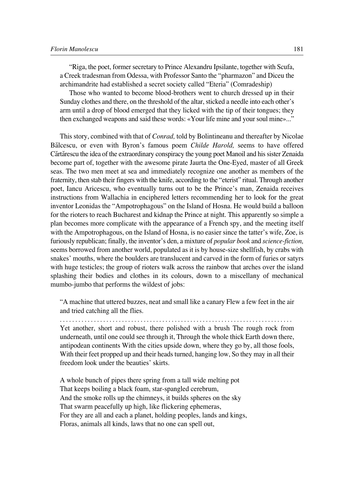"Riga, the poet, former secretary to Prince Alexandru Ipsilante, together with Scufa, a Creek tradesman from Odessa, with Professor Santo the "pharmazon" and Diceu the archimandrite had established a secret society called "Eteria" (Comradeship)

Those who wanted to become blood-brothers went to church dressed up in their Sunday clothes and there, on the threshold of the altar, sticked a needle into each other's arm until a drop of blood emerged that they licked with the tip of their tongues; they then exchanged weapons and said these words: «Your life mine and your soul mine»..."

This story, combined with that of *Conrad,* told by Bolintineanu and thereafter by Nicolae Bælcescu, or even with Byron's famous poem *Childe Harold,* seems to have offered Cærtærescu the idea of the extraordinary conspiracy the young poet Manoil and his sister Zenaida become part of, together with the awesome pirate Jaurta the One-Eyed, master of all Greek seas. The two men meet at sea and immediately recognize one another as members of the fraternity, then stab their fingers with the knife, according to the "eterist" ritual. Through another poet, Iancu Aricescu, who eventually turns out to be the Prince's man, Zenaida receives instructions from Wallachia in enciphered letters recommending her to look for the great inventor Leonidas the "Ampotrophagous" on the Island of Hosna. He would build a balloon for the rioters to reach Bucharest and kidnap the Prince at night. This apparently so simple a plan becomes more complicate with the appearance of a French spy, and the meeting itself with the Ampotrophagous, on the Island of Hosna, is no easier since the tatter's wife, Zoe, is furiously republican; finally, the inventor's den, a mixture of *popular book* and *science°fiction,* seems borrowed from another world, populated as it is by house-size shellfish, by crabs with snakes' mouths, where the boulders are translucent and carved in the form of furies or satyrs with huge testicles; the group of rioters walk across the rainbow that arches over the island splashing their bodies and clothes in its colours, down to a miscellany of mechanical mumbo-jumbo that performs the wildest of jobs:

"A machine that uttered buzzes, neat and small like a canary Flew a few feet in the air and tried catching all the flies.

........................................................................... Yet another, short and robust, there polished with a brush The rough rock from underneath, until one could see through it, Through the whole thick Earth down there, antipodean continents With the cities upside down, where they go by, all those fools, With their feet propped up and their heads turned, hanging low, So they may in all their freedom look under the beauties' skirts.

A whole bunch of pipes there spring from a tall wide melting pot That keeps boiling a black foam, star-spangled cerebrum, And the smoke rolls up the chimneys, it builds spheres on the sky That swarm peacefully up high, like flickering ephemeras, For they are all and each a planet, holding peoples, lands and kings, Floras, animals all kinds, laws that no one can spell out,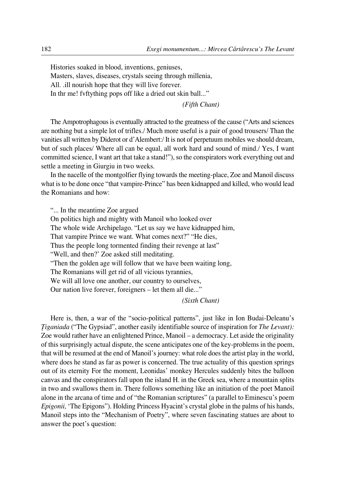Histories soaked in blood, inventions, geniuses, Masters, slaves, diseases, crystals seeing through millenia, All. .ill nourish hope that they will live forever. In thr me! fvftything pops off like a dried out skin ball..."

*(Fifth Chant)*

The Ampotrophagous is eventually attracted to the greatness of the cause ("Arts and sciences are nothing but a simple lot of trifles./ Much more useful is a pair of good trousers/ Than the vanities all written by Diderot or d'Alembert:/ It is not of perpetuum mobiles we should dream, but of such places/ Where all can be equal, all work hard and sound of mind./ Yes, I want committed science, I want art that take a stand!"), so the conspirators work everything out and settle a meeting in Giurgiu in two weeks.

In the nacelle of the montgolfier flying towards the meeting-place, Zoe and Manoil discuss what is to be done once "that vampire-Prince" has been kidnapped and killed, who would lead the Romanians and how:

"... In the meantime Zoe argued

On politics high and mighty with Manoil who looked over The whole wide Archipelago. "Let us say we have kidnapped him, That vampire Prince we want. What comes next?" "He dies, Thus the people long tormented finding their revenge at last" "Well, and then?' Zoe asked still meditating. "Then the golden age will follow that we have been waiting long, The Romanians will get rid of all vicious tyrannies, We will all love one another, our country to ourselves, Our nation live forever, foreigners – let them all die..."

*(Sixth Chant)*

Here is, then, a war of the "socio-political patterns", just like in Ion Budai-Deleanu's *fiiganiada* ("The Gypsiad", another easily identifiable source of inspiration for *The Levant):* Zoe would rather have an enlightened Prince, Manoil – a democracy. Let aside the originality of this surprisingly actual dispute, the scene anticipates one of the key-problems in the poem, that will be resumed at the end of Manoil's journey: what role does the artist play in the world, where does he stand as far as power is concerned. The true actuality of this question springs out of its eternity For the moment, Leonidas' monkey Hercules suddenly bites the balloon canvas and the conspirators fall upon the island H. in the Greek sea, where a mountain splits in two and swallows them in. There follows something like an initiation of the poet Manoil alone in the arcana of time and of "the Romanian scriptures" (a parallel to Eminescu's poem *Epigonii,* 'The Epigons"). Holding Princess Hyacint's crystal globe in the palms of his hands, Manoil steps into the "Mechanism of Poetry", where seven fascinating statues are about to answer the poet's question: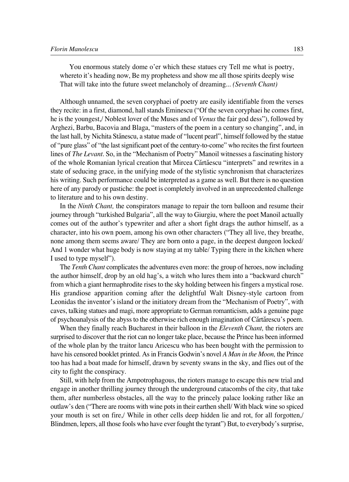You enormous stately dome o'er which these statues cry Tell me what is poetry, whereto it's heading now, Be my prophetess and show me all those spirits deeply wise That will take into the future sweet melancholy of dreaming... *(Seventh Chant)*

Although unnamed, the seven coryphaei of poetry are easily identifiable from the verses they recite: in a first, diamond, hall stands Eminescu ("Of the seven coryphaei he comes first, he is the youngest,/ Noblest lover of the Muses and of *Venus* the fair god dess"), followed by Arghezi, Barbu, Bacovia and Blaga, "masters of the poem in a century so changing", and, in the last hall, by Nichita Stænescu, a statue made of "lucent pearl", himself followed by the statue of "pure glass" of "the last significant poet of the century-to-come" who recites the first fourteen lines of *The Levant.* So, in the "Mechanism of Poetry" Manoil witnesses a fascinating history of the whole Romanian lyrical creation that Mircea Cărtăescu "interprets" and rewrites in a state of seducing grace, in the unifying mode of the stylistic synchronism that characterizes his writing. Such performance could be interpreted as a game as well. But there is no question here of any parody or pastiche: the poet is completely involved in an unprecedented challenge to literature and to his own destiny.

In the *Ninth Chant,* the conspirators manage to repair the torn balloon and resume their journey through "turkished Bulgaria", all the way to Giurgiu, where the poet Manoil actually comes out of the author's typewriter and after a short fight drags the author himself, as a character, into his own poem, among his own other characters ("They all live, they breathe, none among them seems aware/ They are born onto a page, in the deepest dungeon locked/ And 1 wonder what huge body is now staying at my table/ Typing there in the kitchen where I used to type myself").

The *Tenth Chant* complicates the adventures even more: the group of heroes, now including the author himself, drop by an old hag's, a witch who lures them into a "backward church" from which a giant hermaphrodite rises to the sky holding between his fingers a mystical rose. His grandiose apparition coming after the delightful Walt Disney-style cartoon from Leonidas the inventor's island or the initiatory dream from the "Mechanism of Poetry", with caves, talking statues and magi, more appropriate to German romanticism, adds a genuine page of psychoanalysis of the abyss to the otherwise rich enough imagination of Cærtærescu's poem.

When they finally reach Bucharest in their balloon in the *Eleventh Chant,* the rioters are surprised to discover that the riot can no longer take place, because the Prince has been informed of the whole plan by the traitor lancu Aricescu who has been bought with the permission to have his censored booklet printed. As in Francis Godwin's novel *A Man in the Moon,* the Prince too has had a boat made for himself, drawn by seventy swans in the sky, and flies out of the city to fight the conspiracy.

Still, with help from the Ampotrophagous, the rioters manage to escape this new trial and engage in another thrilling journey through the underground catacombs of the city, that take them, after numberless obstacles, all the way to the princely palace looking rather like an outlaw's den ("There are rooms with wine pots in their earthen shell/ With black wine so spiced your mouth is set on fire,/ While in other cells deep hidden lie and rot, for all forgotten,/ Blindmen, lepers, all those fools who have ever fought the tyrant") But, to everybody's surprise,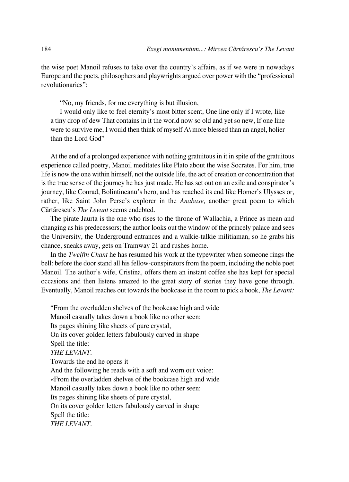the wise poet Manoil refuses to take over the country's affairs, as if we were in nowadays Europe and the poets, philosophers and playwrights argued over power with the "professional revolutionaries":

"No, my friends, for me everything is but illusion,

I would only like to feel eternity's most bitter scent, One line only if I wrote, like a tiny drop of dew That contains in it the world now so old and yet so new, If one line were to survive me, I would then think of myself A\ more blessed than an angel, holier than the Lord God"

At the end of a prolonged experience with nothing gratuitous in it in spite of the gratuitous experience called poetry, Manoil meditates like Plato about the wise Socrates. For him, true life is now the one within himself, not the outside life, the act of creation or concentration that is the true sense of the journey he has just made. He has set out on an exile and conspirator's journey, like Conrad, Bolintineanu's hero, and has reached its end like Homer's Ulysses or, rather, like Saint John Perse's explorer in the *Anabase,* another great poem to which Cărtărescu's *The Levant* seems endebted.

The pirate Jaurta is the one who rises to the throne of Wallachia, a Prince as mean and changing as his predecessors; the author looks out the window of the princely palace and sees the University, the Underground entrances and a walkie-talkie militiaman, so he grabs his chance, sneaks away, gets on Tramway 21 and rushes home.

In the *Twelfth Chant* he has resumed his work at the typewriter when someone rings the bell: before the door stand all his fellow-conspirators from the poem, including the noble poet Manoil. The author's wife, Cristina, offers them an instant coffee she has kept for special occasions and then listens amazed to the great story of stories they have gone through. Eventually, Manoil reaches out towards the bookcase in the room to pick a book, *The Levant:*

"From the overladden shelves of the bookcase high and wide Manoil casually takes down a book like no other seen: Its pages shining like sheets of pure crystal, On its cover golden letters fabulously carved in shape Spell the title: *THE LEVANT.* Towards the end he opens it And the following he reads with a soft and worn out voice: «From the overladden shelves of the bookcase high and wide Manoil casually takes down a book like no other seen: Its pages shining like sheets of pure crystal, On its cover golden letters fabulously carved in shape Spell the title: *THE LEVANT.*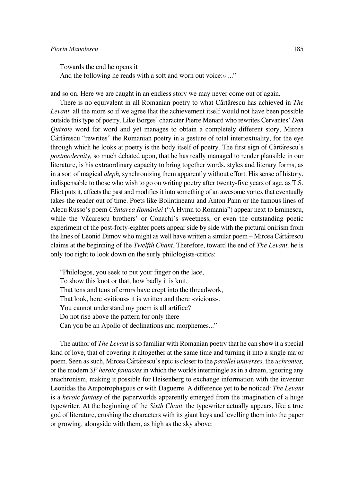Towards the end he opens it And the following he reads with a soft and worn out voice:» ..."

and so on. Here we are caught in an endless story we may never come out of again.

There is no equivalent in all Romanian poetry to what Cărtărescu has achieved in *The Levant,* all the more so if we agree that the achievement itself would not have been possible outside this type of poetry. Like Borges' character Pierre Menard who rewrites Cervantes' *Don Quixote* word for word and yet manages to obtain a completely different story, Mircea Cărtărescu "rewrites" the Romanian poetry in a gesture of total intertextuality, for the eye through which he looks at poetry is the body itself of poetry. The first sign of Cărtărescu's *postmodernity,* so much debated upon, that he has really managed to render plausible in our literature, is his extraordinary capacity to bring together words, styles and literary forms, as in a sort of magical *aleph,* synchronizing them apparently without effort. His sense of history, indispensable to those who wish to go on writing poetry after twenty-five years of age, as T.S. Eliot puts it, affects the past and modifies it into something of an awesome vortex that eventually takes the reader out of time. Poets like Bolintineanu and Anton Pann or the famous lines of Alecu Russo's poem *Cântarea României* ("A Hymn to Romania") appear next to Eminescu, while the Văcarescu brothers' or Conachi's sweetness, or even the outstanding poetic experiment of the post-forty-eighter poets appear side by side with the pictural onirism from the lines of Leonid Dimov who might as well have written a similar poem – Mircea Cărtărescu claims at the beginning of the *Twelfth Chant.* Therefore, toward the end of *The Levant,* he is only too right to look down on the surly philologists-critics:

"Philologos, you seek to put your finger on the lace, To show this knot or that, how badly it is knit, That tens and tens of errors have crept into the threadwork, That look, here «vitious» it is written and there «vicious». You cannot understand my poem is all artifice? Do not rise above the pattern for only there Can you be an Apollo of declinations and morphemes..."

The author of *The Levant* is so familiar with Romanian poetry that he can show it a special kind of love, that of covering it altogether at the same time and turning it into a single major poem. Seen as such, Mircea Cærtærescu's epic is closer to the *parallel universes,* the *uchronies,* or the modern *SF heroic fantasies* in which the worlds intermingle as in a dream, ignoring any anachronism, making it possible for Heisenberg to exchange information with the inventor Leonidas the Ampotrophagous or with Daguerre. A difference yet to be noticed: *The Levant* is a *heroic fantasy* of the paperworlds apparently emerged from the imagination of a huge typewriter. At the beginning of the *Sixth Chant,* the typewriter actually appears, like a true god of literature, crushing the characters with its giant keys and levelling them into the paper or growing, alongside with them, as high as the sky above: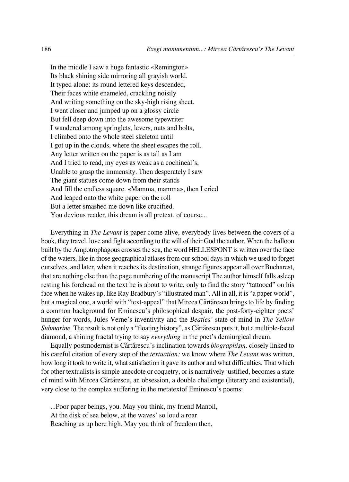In the middle I saw a huge fantastic «Remington» Its black shining side mirroring all grayish world. It typed alone: its round lettered keys descended, Their faces white enameled, crackling noisily And writing something on the sky-high rising sheet. I went closer and jumped up on a glossy circle But fell deep down into the awesome typewriter I wandered among springlets, levers, nuts and bolts, I climbed onto the whole steel skeleton until I got up in the clouds, where the sheet escapes the roll. Any letter written on the paper is as tall as I am And I tried to read, my eyes as weak as a cochineal's, Unable to grasp the immensity. Then desperately I saw The giant statues come down from their stands And fill the endless square. «Mamma, mamma», then I cried And leaped onto the white paper on the roll But a letter smashed me down like crucified. You devious reader, this dream is all pretext, of course...

Everything in *The Levant* is paper come alive, everybody lives between the covers of a book, they travel, love and fight according to the will of their God the author. When the balloon built by the Ampotrophagous crosses the sea, the word HELLESPONT is written over the face of the waters, like in those geographical atlases from our school days in which we used to forget ourselves, and later, when it reaches its destination, strange figures appear all over Bucharest, that are nothing else than the page numbering of the manuscript The author himself falls asleep resting his forehead on the text he is about to write, only to find the story "tattooed" on his face when he wakes up, like Ray Bradbury's "illustrated man". All in all, it is "a paper world", but a magical one, a world with "text-appeal" that Mircea Cărtărescu brings to life by finding a common background for Eminescu's philosophical despair, the post-forty-eighter poets' hunger for words, Jules Verne's inventivity and the *Beatles'* state of mind in *The Yellow Submarine*. The result is not only a "floating history", as Cărtărescu puts it, but a multiple-faced diamond, a shining fractal trying to say *everything* in the poet's demiurgical dream.

Equally postmodernist is Cærtærescu's inclination towards *biographism,* closely linked to his careful citation of every step of the *textuation:* we know where *The Levant* was written, how long it took to write it, what satisfaction it gave its author and what difficulties. That which for other textualists is simple anecdote or coquetry, or is narratively justified, becomes a state of mind with Mircea Cărtărescu, an obsession, a double challenge (literary and existential), very close to the complex suffering in the metatextof Eminescu's poems:

...Poor paper beings, you. May you think, my friend Manoil, At the disk of sea below, at the waves' so loud a roar Reaching us up here high. May you think of freedom then,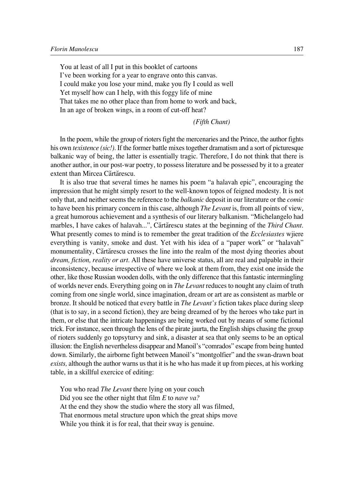You at least of all I put in this booklet of cartoons I've been working for a year to engrave onto this canvas. I could make you lose your mind, make you fly I could as well Yet myself how can I help, with this foggy life of mine That takes me no other place than from home to work and back, In an age of broken wings, in a room of cut-off heat?

*(Fifth Chant)*

In the poem, while the group of rioters fight the mercenaries and the Prince, the author fights his own *texistence (sic!)*. If the former battle mixes together dramatism and a sort of picturesque balkanic way of being, the latter is essentially tragic. Therefore, I do not think that there is another author, in our post-war poetry, to possess literature and be possessed by it to a greater extent than Mircea Cărtărescu.

It is also true that several times he names his poem "a halavah epic", encouraging the impression that he might simply resort to the well-known topos of feigned modesty. It is not only that, and neither seems the reference to the *balkanic* deposit in our literature or the *comic* to have been his primary concern in this case, although *The Levant* is, from all points of view, a great humorous achievement and a synthesis of our literary balkanism. "Michelangelo had marbles, I have cakes of halavah...", Cărtărescu states at the beginning of the *Third Chant*. What presently comes to mind is to remember the great tradition of the *Ecclesiastes* wjiere everything is vanity, smoke and dust. Yet with his idea of a "paper work" or "halavah" monumentality, Cărtărescu crosses the line into the realm of the most dying theories about *dream, fiction, reality or art.* All these have universe status, all are real and palpable in their inconsistency, because irrespective of where we look at them from, they exist one inside the other, like those Russian wooden dolls, with the only difference that this fantastic intermingling of worlds never ends. Everything going on in *The Levant* reduces to nought any claim of truth coming from one single world, since imagination, dream or art are as consistent as marble or bronze. It should be noticed that every battle in *The Levant's* fiction takes place during sleep (that is to say, in a second fiction), they are being dreamed of by the heroes who take part in them, or else that the intricate happenings are being worked out by means of some fictional trick. For instance, seen through the lens of the pirate jaurta, the English ships chasing the group of rioters suddenly go topsyturvy and sink, a disaster at sea that only seems to be an optical illusion: the English nevertheless disappear and Manoil's "comrados" escape from being hunted down. Similarly, the airborne fight between Manoil's "montgolfier" and the swan-drawn boat *exists,* although the author warns us that it is he who has made it up from pieces, at his working table, in a skillful exercice of editing:

You who read *The Levant* there lying on your couch Did you see the other night that film *E* to *nave va?* At the end they show the studio where the story all was filmed, That enormous metal structure upon which the great ships move While you think it is for real, that their sway is genuine.